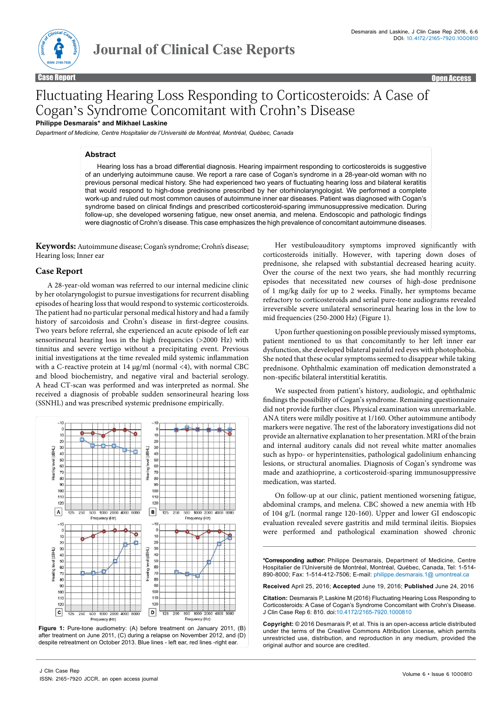

Case Report **Case Report Case of the Case Report Case Report Case Report Case Report Case Report Case Report Case Report Case Report Case Report Case Report Case Report Case Report Case Report Case Report Case Report Case** 

# Fluctuating Hearing Loss Responding to Corticosteroids: A Case of Cogan's Syndrome Concomitant with Crohn's Disease **Philippe Desmarais\* and Mikhael Laskine**

*Department of Medicine, Centre Hospitalier de l'Université de Montréal, Montréal, Québec, Canada*

#### **Abstract**

Hearing loss has a broad differential diagnosis. Hearing impairment responding to corticosteroids is suggestive of an underlying autoimmune cause. We report a rare case of Cogan's syndrome in a 28-year-old woman with no previous personal medical history. She had experienced two years of fluctuating hearing loss and bilateral keratitis that would respond to high-dose prednisone prescribed by her otorhinolaryngologist. We performed a complete work-up and ruled out most common causes of autoimmune inner ear diseases. Patient was diagnosed with Cogan's syndrome based on clinical findings and prescribed corticosteroid-sparing immunosuppressive medication. During follow-up, she developed worsening fatigue, new onset anemia, and melena. Endoscopic and pathologic findings were diagnostic of Crohn's disease. This case emphasizes the high prevalence of concomitant autoimmune diseases.

**Keywords:** Autoimmune disease; Cogan's syndrome; Crohn's disease; Hearing loss; Inner ear

### **Case Report**

A 28-year-old woman was referred to our internal medicine clinic by her otolaryngologist to pursue investigations for recurrent disabling episodes of hearing loss that would respond to systemic corticosteroids. The patient had no particular personal medical history and had a family history of sarcoidosis and Crohn's disease in first-degree cousins. Two years before referral, she experienced an acute episode of left ear sensorineural hearing loss in the high frequencies (>2000 Hz) with tinnitus and severe vertigo without a precipitating event. Previous initial investigations at the time revealed mild systemic inflammation with a C-reactive protein at 14 μg/ml (normal <4), with normal CBC and blood biochemistry, and negative viral and bacterial serology. A head CT-scan was performed and was interpreted as normal. She received a diagnosis of probable sudden sensorineural hearing loss (SSNHL) and was prescribed systemic prednisone empirically.



**Figure 1:** Pure-tone audiometry: (A) before treatment on January 2011, (B) after treatment on June 2011, (C) during a relapse on November 2012, and (D) despite retreatment on October 2013. Blue lines - left ear, red lines -right ear.

Her vestibuloauditory symptoms improved significantly with corticosteroids initially. However, with tapering down doses of prednisone, she relapsed with substantial decreased hearing acuity. Over the course of the next two years, she had monthly recurring episodes that necessitated new courses of high-dose prednisone of 1 mg/kg daily for up to 2 weeks. Finally, her symptoms became refractory to corticosteroids and serial pure-tone audiograms revealed irreversible severe unilateral sensorineural hearing loss in the low to mid frequencies (250-2000 Hz) (Figure 1).

Upon further questioning on possible previously missed symptoms, patient mentioned to us that concomitantly to her left inner ear dysfunction, she developed bilateral painful red eyes with photophobia. She noted that these ocular symptoms seemed to disappear while taking prednisone. Ophthalmic examination off medication demonstrated a non-specific bilateral interstitial keratitis.

We suspected from patient's history, audiologic, and ophthalmic findings the possibility of Cogan's syndrome. Remaining questionnaire did not provide further clues. Physical examination was unremarkable. ANA titers were mildly positive at 1/160. Other autoimmune antibody markers were negative. The rest of the laboratory investigations did not provide an alternative explanation to her presentation. MRI of the brain and internal auditory canals did not reveal white matter anomalies such as hypo- or hyperintensities, pathological gadolinium enhancing lesions, or structural anomalies. Diagnosis of Cogan's syndrome was made and azathioprine, a corticosteroid-sparing immunosuppressive medication, was started.

On follow-up at our clinic, patient mentioned worsening fatigue, abdominal cramps, and melena. CBC showed a new anemia with Hb of 104 g/L (normal range 120-160). Upper and lower GI endoscopic evaluation revealed severe gastritis and mild terminal ileitis. Biopsies were performed and pathological examination showed chronic

**\*Corresponding author:** Philippe Desmarais, Department of Medicine, Centre Hospitalier de l'Université de Montréal, Montréal, Québec, Canada, Tel: 1-514- 890-8000; Fax: 1-514-412-7506; E-mail: philippe.desmarais.1@ umontreal.ca

**Received** April 25, 2016; **Accepted** June 19, 2016; **Published** June 24, 2016

**Citation:** Desmarais P, Laskine M (2016) Fluctuating Hearing Loss Responding to Corticosteroids: A Case of Cogan's Syndrome Concomitant with Crohn's Disease. J Clin Case Rep 6: 810. doi:10.4172/2165-7920.1000810

**Copyright:** © 2016 Desmarais P, et al. This is an open-access article distributed under the terms of the Creative Commons Attribution License, which permits unrestricted use, distribution, and reproduction in any medium, provided the original author and source are credited.